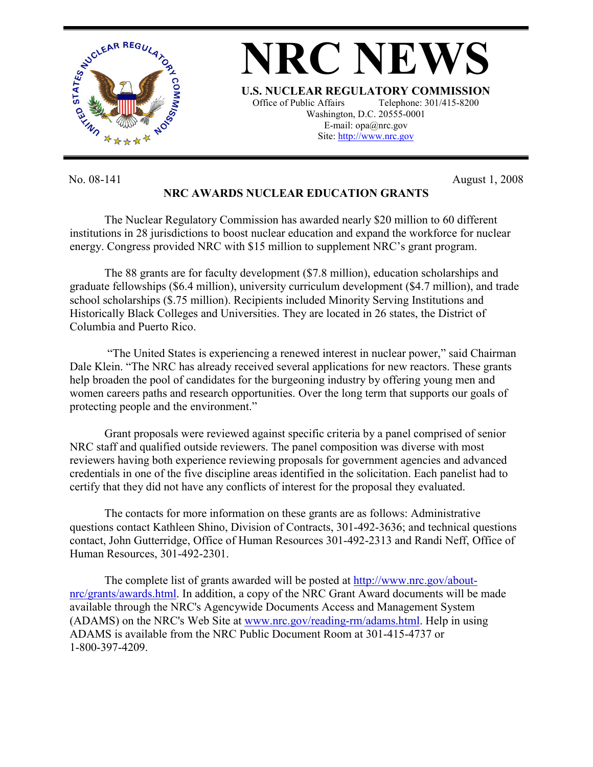

No. 08-141 August 1, 2008

**NRC AWARDS NUCLEAR EDUCATION GRANTS** 

The Nuclear Regulatory Commission has awarded nearly \$20 million to 60 different institutions in 28 jurisdictions to boost nuclear education and expand the workforce for nuclear energy. Congress provided NRC with \$15 million to supplement NRC's grant program.

The 88 grants are for faculty development (\$7.8 million), education scholarships and graduate fellowships (\$6.4 million), university curriculum development (\$4.7 million), and trade school scholarships (\$.75 million). Recipients included Minority Serving Institutions and Historically Black Colleges and Universities. They are located in 26 states, the District of Columbia and Puerto Rico.

 "The United States is experiencing a renewed interest in nuclear power," said Chairman Dale Klein. "The NRC has already received several applications for new reactors. These grants help broaden the pool of candidates for the burgeoning industry by offering young men and women careers paths and research opportunities. Over the long term that supports our goals of protecting people and the environment."

Grant proposals were reviewed against specific criteria by a panel comprised of senior NRC staff and qualified outside reviewers. The panel composition was diverse with most reviewers having both experience reviewing proposals for government agencies and advanced credentials in one of the five discipline areas identified in the solicitation. Each panelist had to certify that they did not have any conflicts of interest for the proposal they evaluated.

The contacts for more information on these grants are as follows: Administrative questions contact Kathleen Shino, Division of Contracts, 301-492-3636; and technical questions contact, John Gutterridge, Office of Human Resources 301-492-2313 and Randi Neff, Office of Human Resources, 301-492-2301.

The complete list of grants awarded will be posted at http://www.nrc.gov/aboutnrc/grants/awards.html. In addition, a copy of the NRC Grant Award documents will be made available through the NRC's Agencywide Documents Access and Management System (ADAMS) on the NRC's Web Site at www.nrc.gov/reading-rm/adams.html. Help in using ADAMS is available from the NRC Public Document Room at 301-415-4737 or 1-800-397-4209.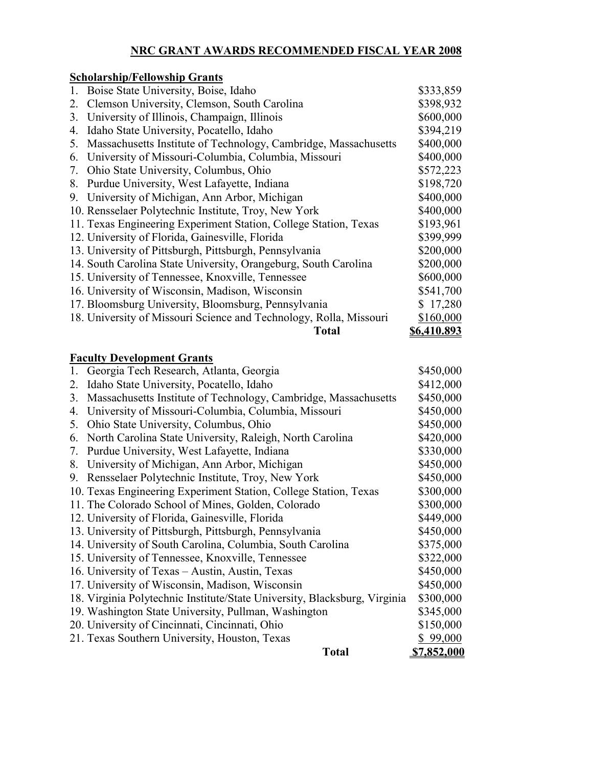### **NRC GRANT AWARDS RECOMMENDED FISCAL YEAR 2008**

## **Scholarship/Fellowship Grants** 1. Boise State University, Boise, Idaho  $$333,859$ 2. Clemson University, Clemson, South Carolina \$398,932 3. University of Illinois, Champaign, Illinois  $$600,000$ 4. Idaho State University, Pocatello, Idaho  $$394,219$ 5. Massachusetts Institute of Technology, Cambridge, Massachusetts \$400,000 6. University of Missouri-Columbia, Columbia, Missouri \$400,000 7. Ohio State University, Columbus, Ohio \$572,223 8. Purdue University, West Lafayette, Indiana  $$198,720$ 9. University of Michigan, Ann Arbor, Michigan  $$400,000$ 10. Rensselaer Polytechnic Institute, Troy, New York \$400,000 11. Texas Engineering Experiment Station, College Station, Texas \$193,961 12. University of Florida, Gainesville, Florida  $$399,999$ 13. University of Pittsburgh, Pittsburgh, Pennsylvania \$200,000 14. South Carolina State University, Orangeburg, South Carolina \$200,000 15. University of Tennessee, Knoxville, Tennessee \$600,000 16. University of Wisconsin, Madison, Wisconsin \$541,700 17. Bloomsburg University, Bloomsburg, Pennsylvania \$ 17,280 18. University of Missouri Science and Technology, Rolla, Missouri \$160,000 **Total \$6,410.893**

#### **Faculty Development Grants**

|    | <b>Total</b>                                                              | <u>\$7,852,000</u> |
|----|---------------------------------------------------------------------------|--------------------|
|    | 21. Texas Southern University, Houston, Texas                             | \$99,000           |
|    | 20. University of Cincinnati, Cincinnati, Ohio                            | \$150,000          |
|    | 19. Washington State University, Pullman, Washington                      | \$345,000          |
|    | 18. Virginia Polytechnic Institute/State University, Blacksburg, Virginia | \$300,000          |
|    | 17. University of Wisconsin, Madison, Wisconsin                           | \$450,000          |
|    | 16. University of Texas – Austin, Austin, Texas                           | \$450,000          |
|    | 15. University of Tennessee, Knoxville, Tennessee                         | \$322,000          |
|    | 14. University of South Carolina, Columbia, South Carolina                | \$375,000          |
|    | 13. University of Pittsburgh, Pittsburgh, Pennsylvania                    | \$450,000          |
|    | 12. University of Florida, Gainesville, Florida                           | \$449,000          |
|    | 11. The Colorado School of Mines, Golden, Colorado                        | \$300,000          |
|    | 10. Texas Engineering Experiment Station, College Station, Texas          | \$300,000          |
| 9. | Rensselaer Polytechnic Institute, Troy, New York                          | \$450,000          |
| 8. | University of Michigan, Ann Arbor, Michigan                               | \$450,000          |
| 7. | Purdue University, West Lafayette, Indiana                                | \$330,000          |
| 6. | North Carolina State University, Raleigh, North Carolina                  | \$420,000          |
| 5. | Ohio State University, Columbus, Ohio                                     | \$450,000          |
| 4. | University of Missouri-Columbia, Columbia, Missouri                       | \$450,000          |
| 3. | Massachusetts Institute of Technology, Cambridge, Massachusetts           | \$450,000          |
| 2. | Idaho State University, Pocatello, Idaho                                  | \$412,000          |
| 1. | Georgia Tech Research, Atlanta, Georgia                                   | \$450,000          |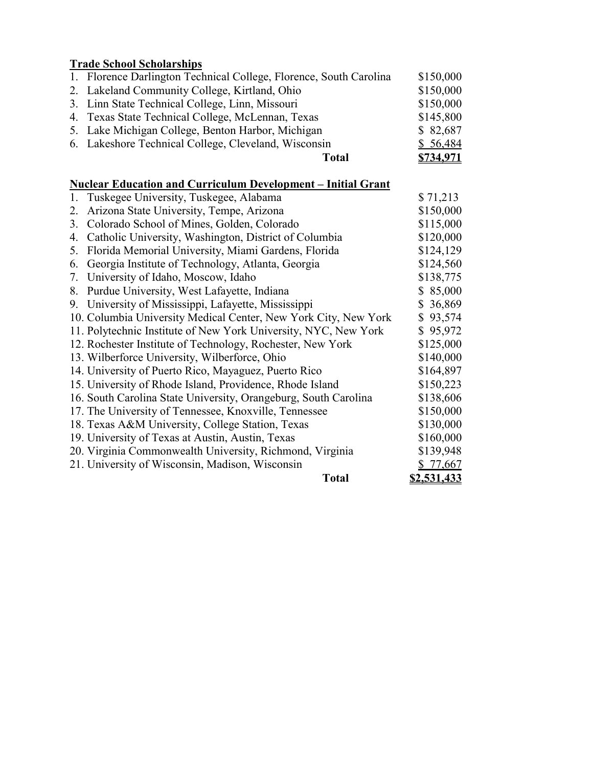## **Trade School Scholarships**

| 1. Florence Darlington Technical College, Florence, South Carolina | \$150,000 |
|--------------------------------------------------------------------|-----------|
| 2. Lakeland Community College, Kirtland, Ohio                      | \$150,000 |
| 3. Linn State Technical College, Linn, Missouri                    | \$150,000 |
| 4. Texas State Technical College, McLennan, Texas                  | \$145,800 |
| 5. Lake Michigan College, Benton Harbor, Michigan                  | \$82,687  |
| 6. Lakeshore Technical College, Cleveland, Wisconsin               | \$56,484  |
| Total                                                              | \$734,971 |

# **Nuclear Education and Curriculum Development – Initial Grant**

|    | 1. Tuskegee University, Tuskegee, Alabama                       | \$71,213    |
|----|-----------------------------------------------------------------|-------------|
| 2. | Arizona State University, Tempe, Arizona                        | \$150,000   |
| 3. | Colorado School of Mines, Golden, Colorado                      | \$115,000   |
| 4. | Catholic University, Washington, District of Columbia           | \$120,000   |
| 5. | Florida Memorial University, Miami Gardens, Florida             | \$124,129   |
| 6. | Georgia Institute of Technology, Atlanta, Georgia               | \$124,560   |
| 7. | University of Idaho, Moscow, Idaho                              | \$138,775   |
| 8. | Purdue University, West Lafayette, Indiana                      | \$85,000    |
|    | 9. University of Mississippi, Lafayette, Mississippi            | \$36,869    |
|    | 10. Columbia University Medical Center, New York City, New York | \$93,574    |
|    | 11. Polytechnic Institute of New York University, NYC, New York | \$95,972    |
|    | 12. Rochester Institute of Technology, Rochester, New York      | \$125,000   |
|    | 13. Wilberforce University, Wilberforce, Ohio                   | \$140,000   |
|    | 14. University of Puerto Rico, Mayaguez, Puerto Rico            | \$164,897   |
|    | 15. University of Rhode Island, Providence, Rhode Island        | \$150,223   |
|    | 16. South Carolina State University, Orangeburg, South Carolina | \$138,606   |
|    | 17. The University of Tennessee, Knoxville, Tennessee           | \$150,000   |
|    | 18. Texas A&M University, College Station, Texas                | \$130,000   |
|    | 19. University of Texas at Austin, Austin, Texas                | \$160,000   |
|    | 20. Virginia Commonwealth University, Richmond, Virginia        | \$139,948   |
|    | 21. University of Wisconsin, Madison, Wisconsin                 | \$77,667    |
|    | <b>Total</b>                                                    | \$2,531,433 |